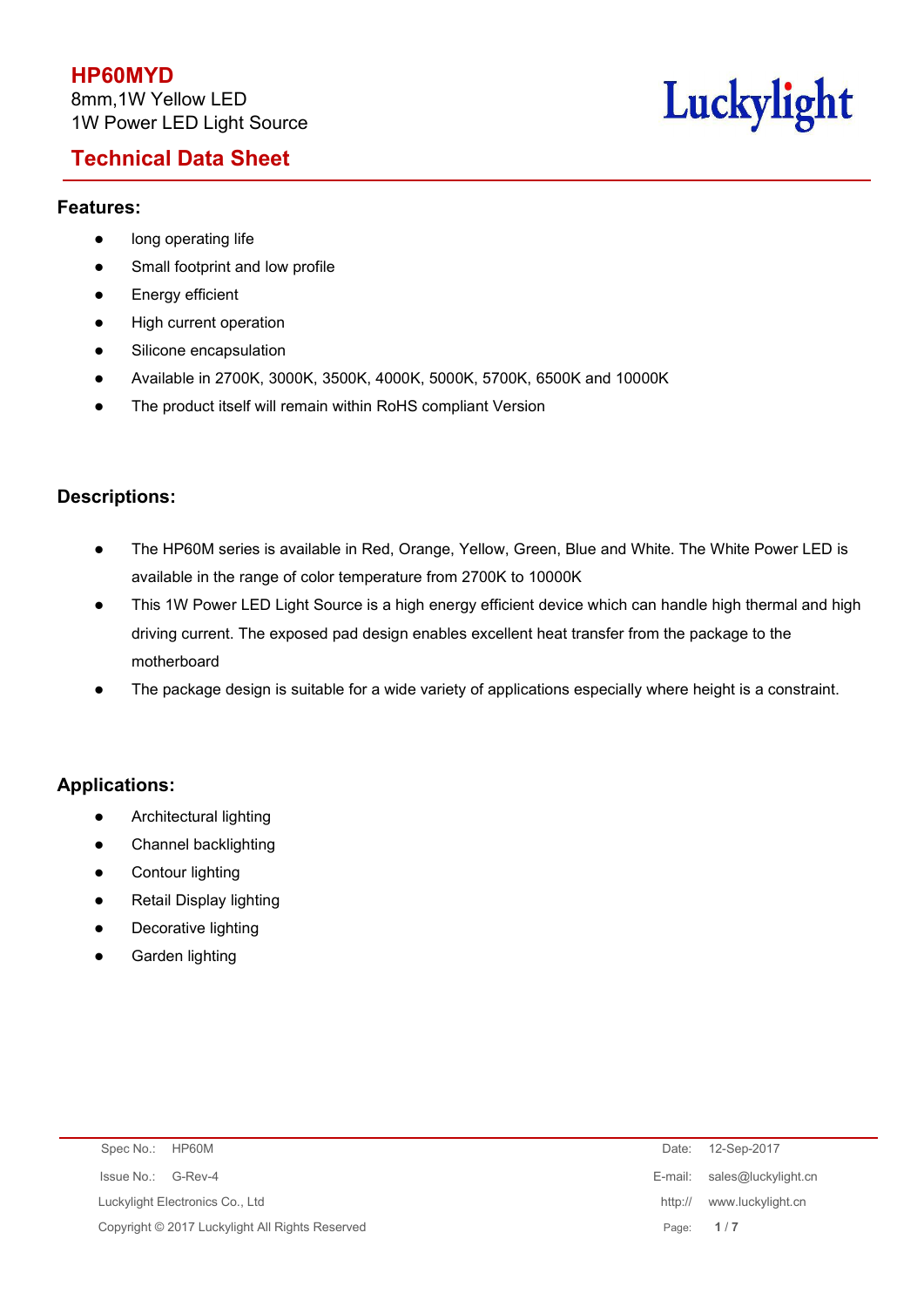## **Technical Data Sheet**



### **Features:**

- long operating life
- Small footprint and low profile
- **•** Energy efficient
- High current operation
- **•** Silicone encapsulation
- Available in 2700K, 3000K, 3500K, 4000K, 5000K, 5700K, 6500K and 10000K
- The product itself will remain within RoHS compliant Version

### **Descriptions:**

- The HP60M series is available in Red, Orange, Yellow, Green, Blue and White. The White Power LED is available in the range of color temperature from 2700K to 10000K
- This 1W Power LED Light Source is a high energy efficient device which can handle high thermal and high driving current. The exposed pad design enables excellent heat transfer from the package to the motherboard
- The package design is suitable for a wide variety of applications especially where height is a constraint.

### **Applications:**

- **•** Architectural lighting
- Channel backlighting
- Contour lighting
- Retail Display lighting
- Decorative lighting
- Garden lighting

| Spec No.: HP60M                                 | Date: 12-Sep-2017            |
|-------------------------------------------------|------------------------------|
| Issue No.: G-Rev-4                              | E-mail: sales@luckylight.cn  |
| Luckylight Electronics Co., Ltd                 | www.luckylight.cn<br>http:// |
| Copyright © 2017 Luckylight All Rights Reserved | Page: 1/7                    |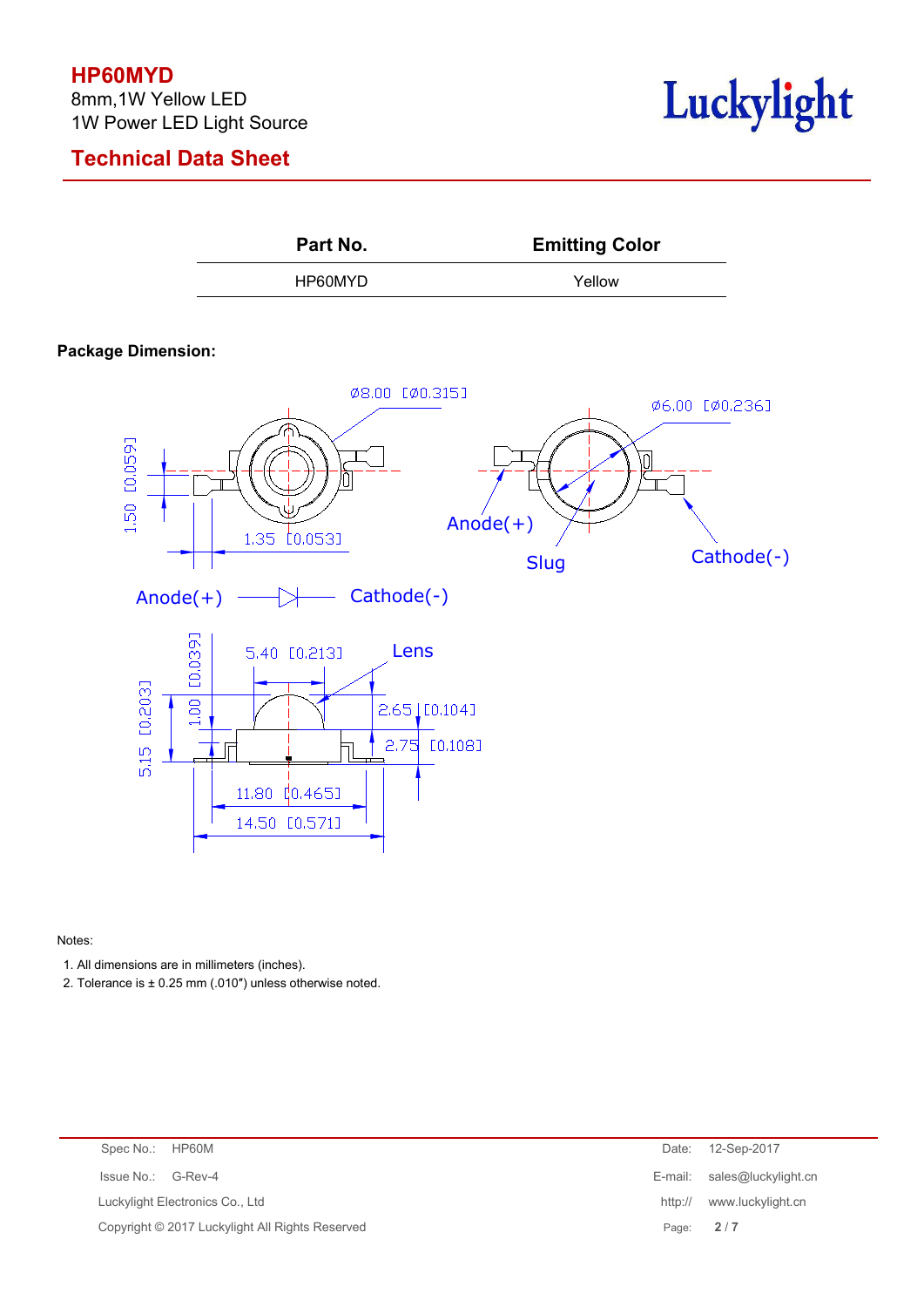## **HP60MYD**

8mm,1W Yellow LED 1W Power LED Light Source







### **Package Dimension:**



Notes:

1. All dimensions are in millimeters (inches).

2. Tolerance is ± 0.25 mm (.010") unless otherwise noted.

| Spec No.: HP60M                                 | Date:     | 12-Sep-2017                 |
|-------------------------------------------------|-----------|-----------------------------|
| Issue No.: G-Rev-4                              |           | E-mail: sales@luckylight.cn |
| Luckylight Electronics Co., Ltd                 | http://   | www.luckylight.cn           |
| Copyright © 2017 Luckylight All Rights Reserved | Page: 2/7 |                             |
|                                                 |           |                             |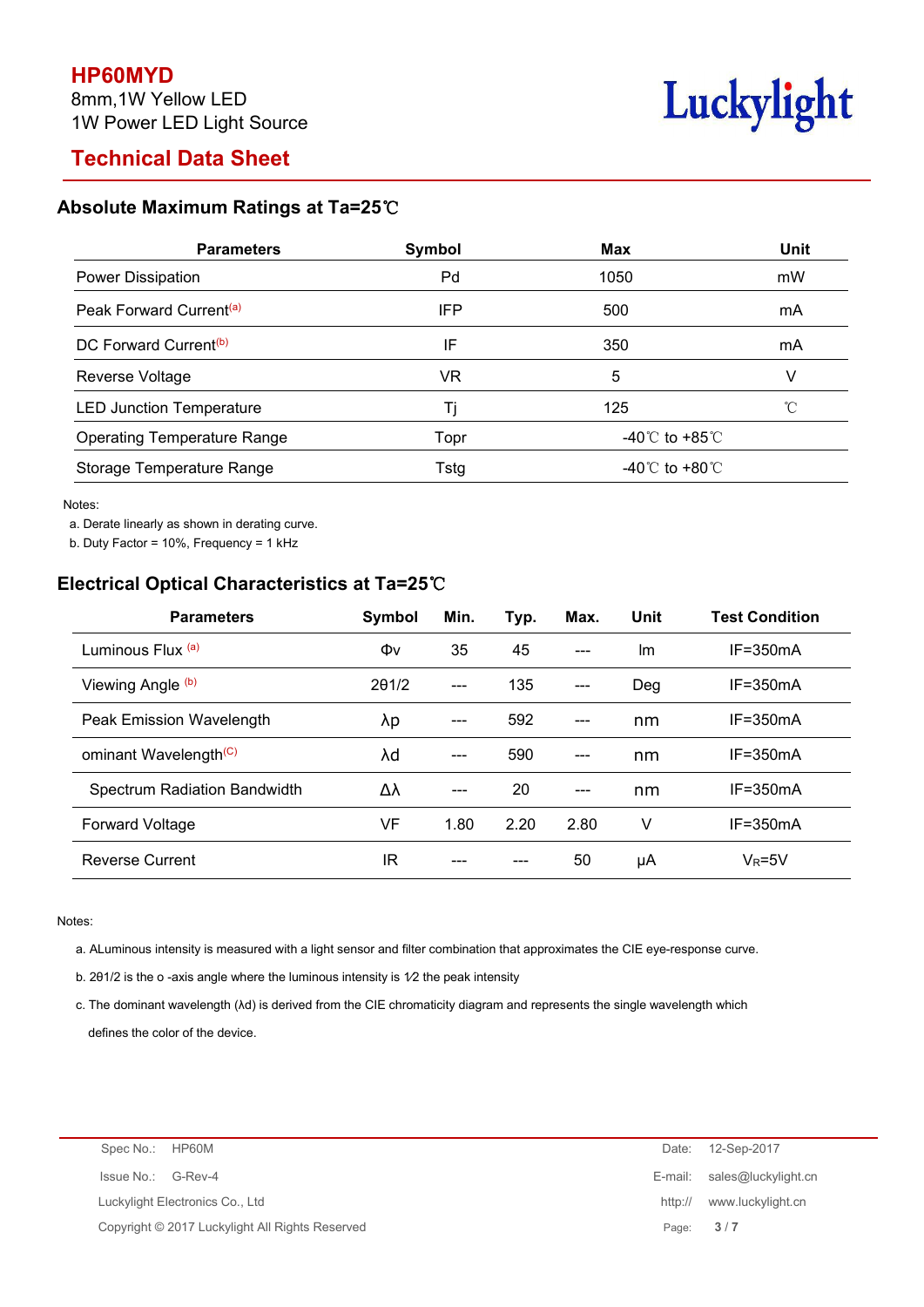# **Technical Data Sheet**

# Luckylight

### **Absolute Maximum Ratings at Ta=25**℃

| <b>Parameters</b>                   | Symbol | <b>Max</b>   | <b>Unit</b> |
|-------------------------------------|--------|--------------|-------------|
| Power Dissipation                   | Pd     | 1050         | mW          |
| Peak Forward Current <sup>(a)</sup> | IFP    | 500          | mA          |
| DC Forward Current <sup>(b)</sup>   | IF     | 350          | mA          |
| Reverse Voltage                     | VR     | 5            |             |
| <b>LED Junction Temperature</b>     |        | 125          |             |
| <b>Operating Temperature Range</b>  | Topr   | -40℃ to +85℃ |             |
| Storage Temperature Range           | Tstg   | -40℃ to +80℃ |             |

Notes:

a. Derate linearly as shown in derating curve.

b. Duty Factor = 10%, Frequency = 1 kHz

## **Electrical Optical Characteristics at Ta=25**℃

| <b>Parameters</b>                 | Symbol        | Min.                   | Typ. | Max.                | Unit | <b>Test Condition</b> |
|-----------------------------------|---------------|------------------------|------|---------------------|------|-----------------------|
| Luminous Flux (a)                 | Φv            | 35                     | 45   | $---$               | Im   | $IF = 350mA$          |
| Viewing Angle (b)                 | $2\theta$ 1/2 | $\qquad \qquad \cdots$ | 135  | $---$               | Deg  | $IF = 350mA$          |
| Peak Emission Wavelength          | λp            | $\qquad \qquad \cdots$ | 592  | $\qquad \qquad - -$ | nm   | $IF = 350mA$          |
| ominant Wavelength <sup>(C)</sup> | λd            | $---$                  | 590  | $---$               | nm   | $IF = 350mA$          |
| Spectrum Radiation Bandwidth      | Δλ            | $---$                  | 20   | $---$               | nm   | $IF = 350mA$          |
| <b>Forward Voltage</b>            | VF            | 1.80                   | 2.20 | 2.80                | ٧    | $IF = 350mA$          |
| <b>Reverse Current</b>            | ΙR            | ---                    | ---  | 50                  | μA   | $V_R = 5V$            |

#### Notes:

a. ALuminous intensity is measured with a light sensor and filter combination that approximates the CIE eye-response curve.

b. 201/2 is the o -axis angle where the luminous intensity is  $1/2$  the peak intensity

c. The dominant wavelength (λd) is derived from the CIE chromaticity diagram and represents the single wavelength which defines the color of the device.

| Spec No.: HP60M                                 |         | Date: 12-Sep-2017           |
|-------------------------------------------------|---------|-----------------------------|
| Issue No.: G-Rev-4                              |         | E-mail: sales@luckylight.cn |
| Luckylight Electronics Co., Ltd                 | http:// | www.luckylight.cn           |
| Copyright © 2017 Luckylight All Rights Reserved | Page:   | 3/7                         |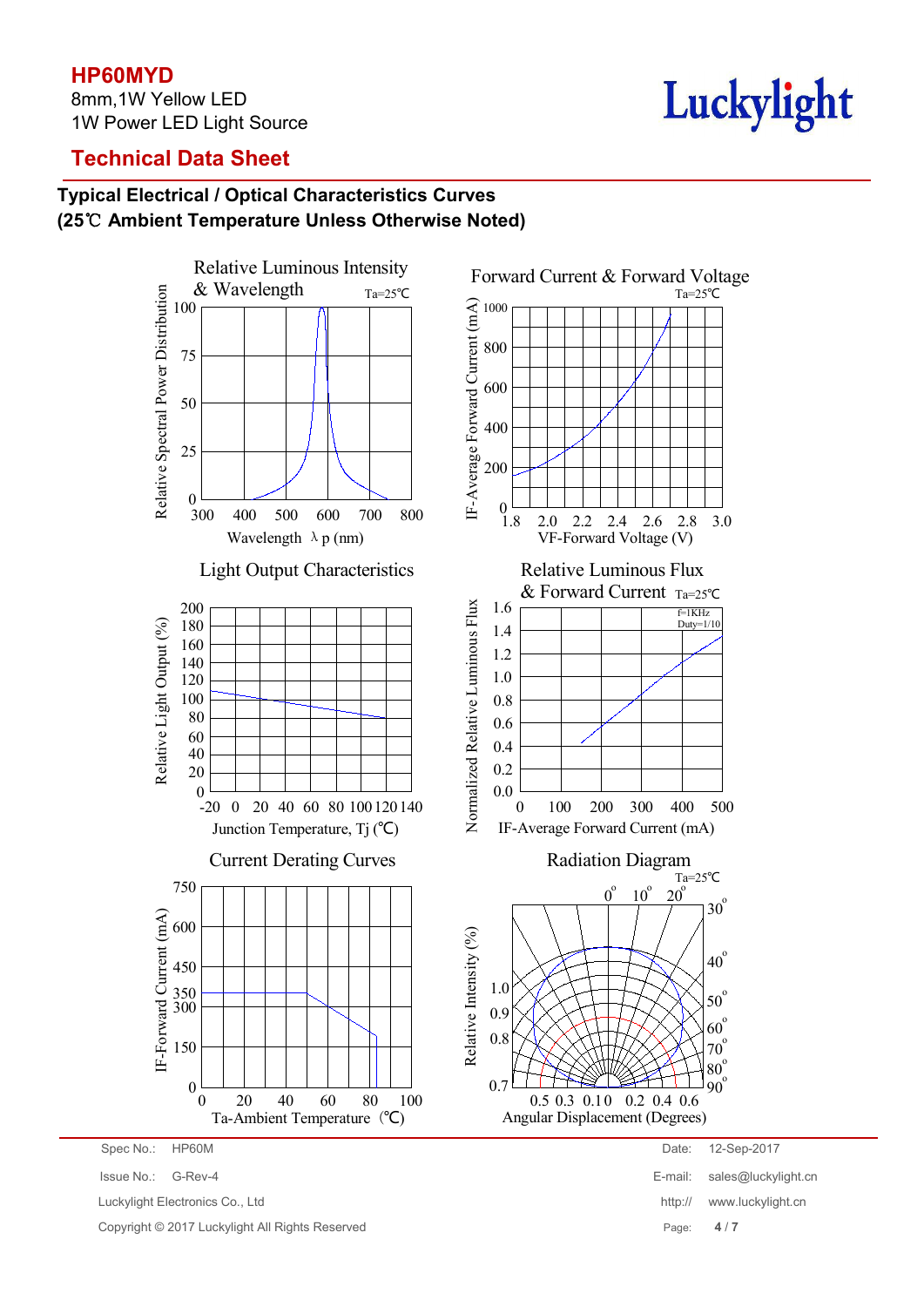## **HP60MYD**

8mm,1W Yellow LED 1W Power LED Light Source

# Luckylight

## **Technical Data Sheet**

## **Typical Electrical / Optical Characteristics Curves (25**℃ **Ambient Temperature Unless Otherwise Noted)**



Luckylight Electronics Co., Ltd **http:// www.luckylight.cn** 

Copyright © 2017 Luckylight All Rights Reserved Page: **4** / **7**

Issue No.: G-Rev-4 E-mail: sales@luckylight.cn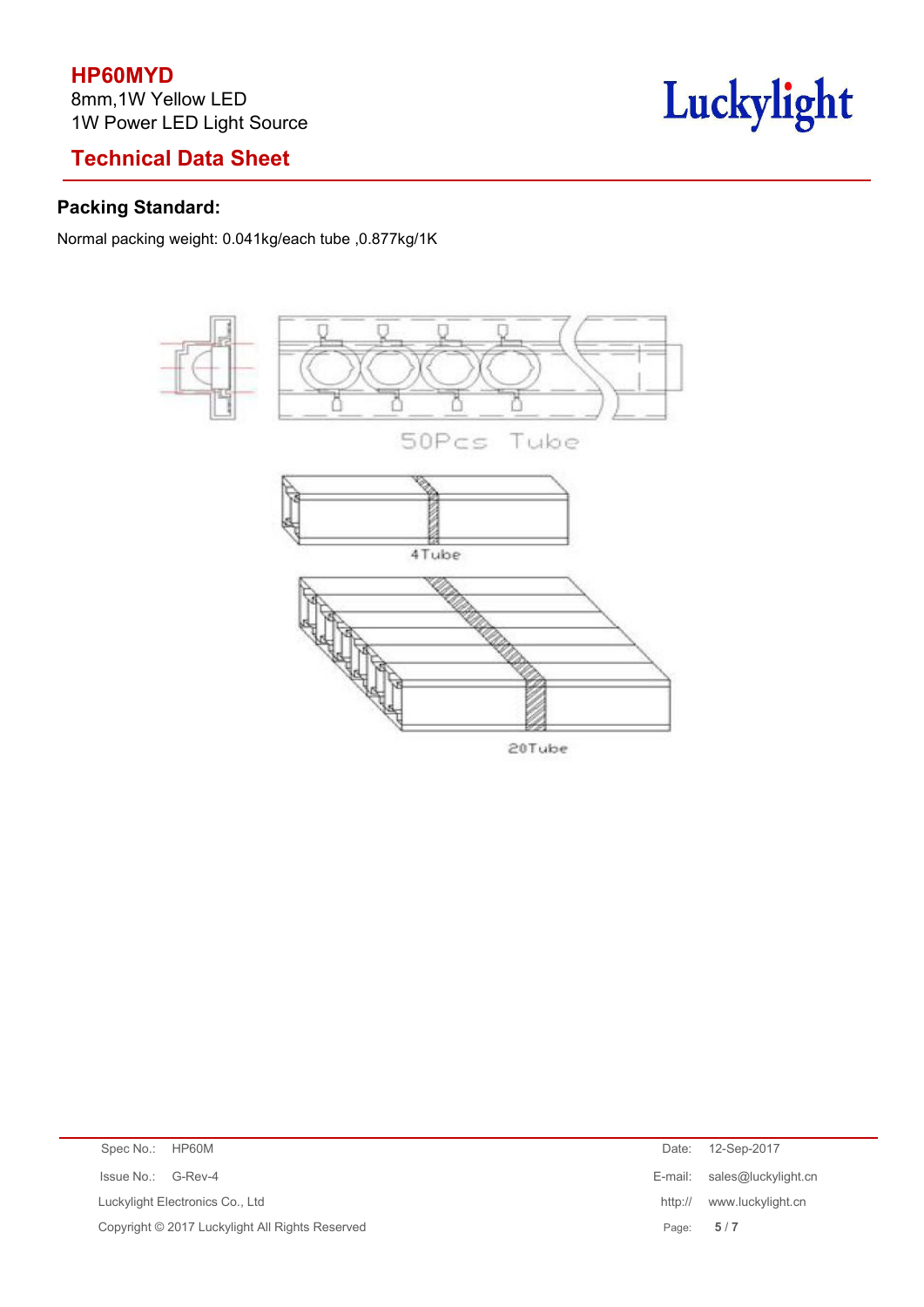## **HP60MYD**

8mm,1W Yellow LED 1W Power LED Light Source

# **Technical Data Sheet**

# Luckylight

## **Packing Standard:**

Normal packing weight: 0.041kg/each tube ,0.877kg/1K



| Spec No.: HP60M    |                                                 | Date:   | 12-Sep-2017                 |
|--------------------|-------------------------------------------------|---------|-----------------------------|
| Issue No.: G-Rev-4 |                                                 |         | E-mail: sales@luckylight.cn |
|                    | Luckylight Electronics Co., Ltd                 | http:// | www.luckylight.cn           |
|                    | Copyright © 2017 Luckylight All Rights Reserved |         | Page: $5/7$                 |
|                    |                                                 |         |                             |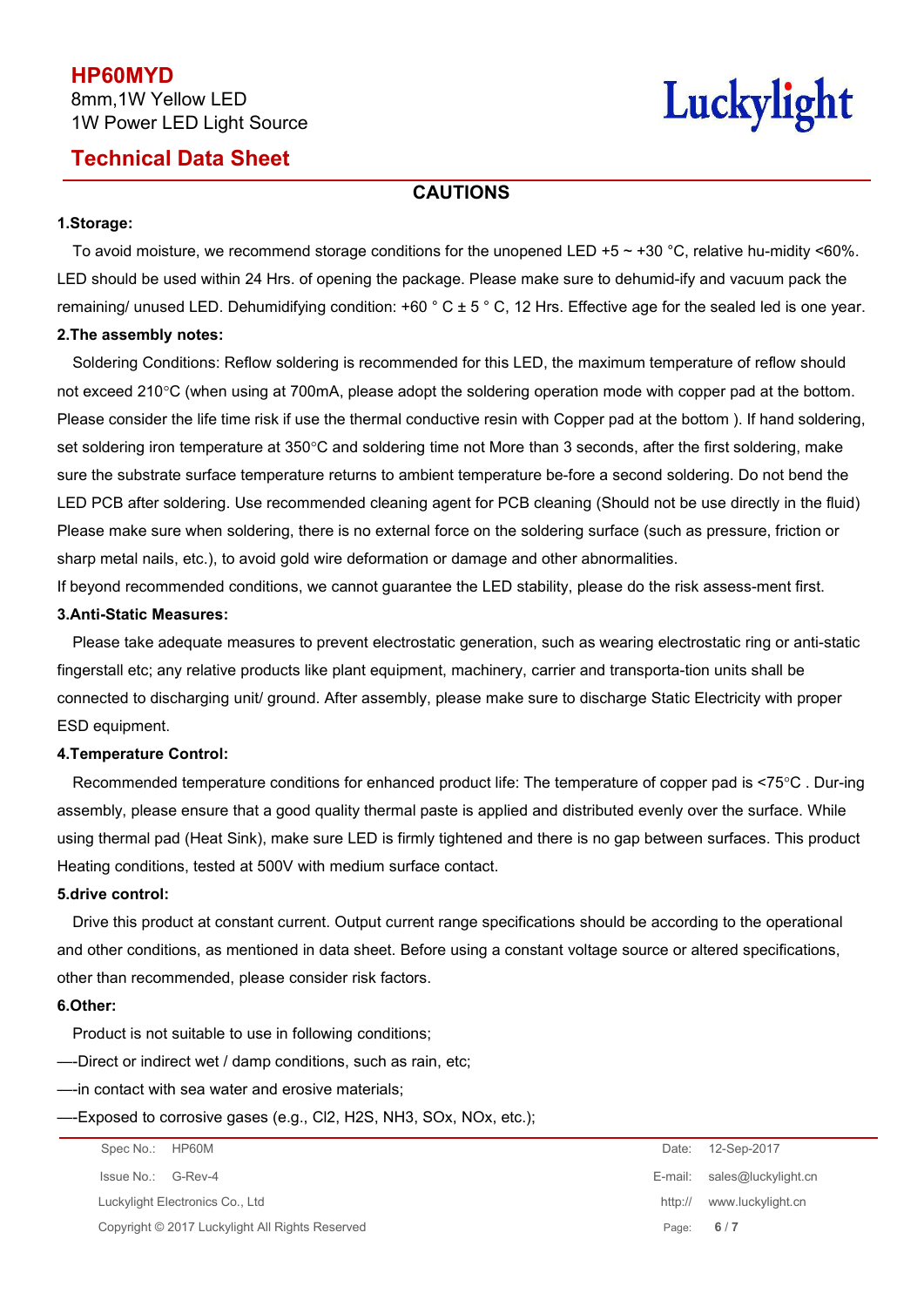## **Technical Data Sheet**

# Luckylight

### **CAUTIONS**

### **1.Storage:**

To avoid moisture, we recommend storage conditions for the unopened LED +5  $\sim$  +30 °C, relative hu-midity <60%. LED should be used within 24 Hrs. of opening the package. Please make sure to dehumid-ify and vacuum pack the remaining/ unused LED. Dehumidifying condition:  $+60$   $^{\circ}$  C  $\pm$  5  $^{\circ}$  C, 12 Hrs. Effective age for the sealed led is one year. **2.The assembly notes:**

# Soldering Conditions: Reflow soldering is recommended for this LED, the maximum temperature of reflow should not exceed 210°C (when using at 700mA, please adopt the soldering operation mode with copper pad at the bottom. Please consider the life time risk if use the thermal conductive resin with Copper pad at the bottom ). If hand soldering, set soldering iron temperature at 350°C and soldering time not More than 3 seconds, after the first soldering, make sure the substrate surface temperature returns to ambient temperature be-fore a second soldering. Do not bend the LED PCB after soldering. Use recommended cleaning agent for PCB cleaning (Should not be use directly in the fluid) Please make sure when soldering, there is no external force on the soldering surface (such as pressure, friction or sharp metal nails, etc.), to avoid gold wire deformation or damage and other abnormalities.

If beyond recommended conditions, we cannot guarantee the LED stability, please do the risk assess-ment first.

#### **3.Anti-Static Measures:**

Please take adequate measures to prevent electrostatic generation, such as wearing electrostatic ring oranti-static fingerstall etc; any relative products like plant equipment, machinery, carrier and transporta-tion units shall be connected to discharging unit/ ground. After assembly, please make sure to discharge Static Electricity with proper ESD equipment.

### **4.Temperature Control:**

Recommended temperature conditions for enhanced product life: The temperature of copper pad is <75°C. Dur-ing assembly, please ensure that a good quality thermal paste is applied and distributed evenly over the surface. While using thermal pad (Heat Sink), make sure LED is firmly tightened and there is no gap between surfaces. This product Heating conditions, tested at 500V with medium surface contact.

### **5.drive control:**

Drive this product at constant current. Output current range specifications should be according to the operational and other conditions, as mentioned in data sheet. Before using a constant voltage source or altered specifications, other than recommended, please consider risk factors.

### **6.Other:**

Product is not suitable to use in following conditions;

—-Direct or indirect wet / damp conditions, such as rain, etc;

—-in contact with sea water and erosive materials;

### —-Exposed to corrosive gases (e.g., Cl2, H2S, NH3, SOx, NOx, etc.);

| Spec No.: HP60M                                 | 12-Sep-2017<br>Date:         |
|-------------------------------------------------|------------------------------|
| Issue No.: G-Rev-4                              | E-mail: sales@luckylight.cn  |
| Luckylight Electronics Co., Ltd                 | www.luckylight.cn<br>http:// |
| Copyright © 2017 Luckylight All Rights Reserved | 6/7<br>Page:                 |